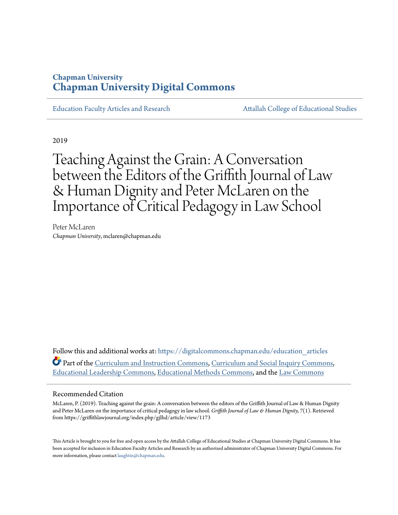# **Chapman University [Chapman University Digital Commons](https://digitalcommons.chapman.edu/?utm_source=digitalcommons.chapman.edu%2Feducation_articles%2F242&utm_medium=PDF&utm_campaign=PDFCoverPages)**

[Education Faculty Articles and Research](https://digitalcommons.chapman.edu/education_articles?utm_source=digitalcommons.chapman.edu%2Feducation_articles%2F242&utm_medium=PDF&utm_campaign=PDFCoverPages) [Attallah College of Educational Studies](https://digitalcommons.chapman.edu/ces?utm_source=digitalcommons.chapman.edu%2Feducation_articles%2F242&utm_medium=PDF&utm_campaign=PDFCoverPages)

2019

Teaching Against the Grain: A Conversation between the Editors of the Griffith Journal of Law & Human Dignity and Peter McLaren on the Importance of Critical Pedagogy in Law School

Peter McLaren *Chapman University*, mclaren@chapman.edu

Follow this and additional works at: [https://digitalcommons.chapman.edu/education\\_articles](https://digitalcommons.chapman.edu/education_articles?utm_source=digitalcommons.chapman.edu%2Feducation_articles%2F242&utm_medium=PDF&utm_campaign=PDFCoverPages) Part of the [Curriculum and Instruction Commons](http://network.bepress.com/hgg/discipline/786?utm_source=digitalcommons.chapman.edu%2Feducation_articles%2F242&utm_medium=PDF&utm_campaign=PDFCoverPages), [Curriculum and Social Inquiry Commons](http://network.bepress.com/hgg/discipline/1038?utm_source=digitalcommons.chapman.edu%2Feducation_articles%2F242&utm_medium=PDF&utm_campaign=PDFCoverPages), [Educational Leadership Commons](http://network.bepress.com/hgg/discipline/1230?utm_source=digitalcommons.chapman.edu%2Feducation_articles%2F242&utm_medium=PDF&utm_campaign=PDFCoverPages), [Educational Methods Commons,](http://network.bepress.com/hgg/discipline/1227?utm_source=digitalcommons.chapman.edu%2Feducation_articles%2F242&utm_medium=PDF&utm_campaign=PDFCoverPages) and the [Law Commons](http://network.bepress.com/hgg/discipline/578?utm_source=digitalcommons.chapman.edu%2Feducation_articles%2F242&utm_medium=PDF&utm_campaign=PDFCoverPages)

#### Recommended Citation

McLaren, P. (2019). Teaching against the grain: A conversation between the editors of the Griffith Journal of Law & Human Dignity and Peter McLaren on the importance of critical pedagogy in law school. *Griffith Journal of Law & Human Dignity, 7*(1). Retrieved from https://griffithlawjournal.org/index.php/gjlhd/article/view/1173

This Article is brought to you for free and open access by the Attallah College of Educational Studies at Chapman University Digital Commons. It has been accepted for inclusion in Education Faculty Articles and Research by an authorized administrator of Chapman University Digital Commons. For more information, please contact [laughtin@chapman.edu](mailto:laughtin@chapman.edu).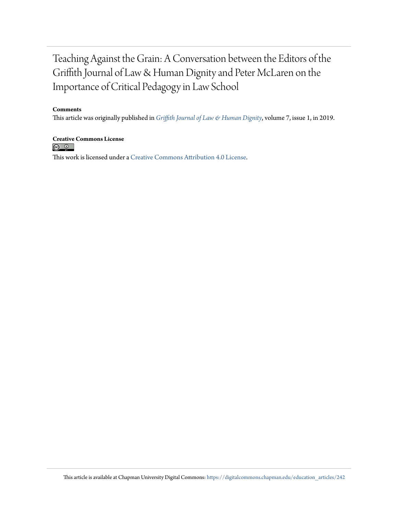# Teaching Against the Grain: A Conversation between the Editors of the Griffith Journal of Law & Human Dignity and Peter McLaren on the Importance of Critical Pedagogy in Law School

#### **Comments**

This article was originally published in *[Griffith Journal of Law & Human Dignity](https://griffithlawjournal.org/)*, volume 7, issue 1, in 2019.

**Creative Commons License**<br> **C 0** This work is licensed under a [Creative Commons Attribution 4.0 License.](https://creativecommons.org/licenses/by/4.0/)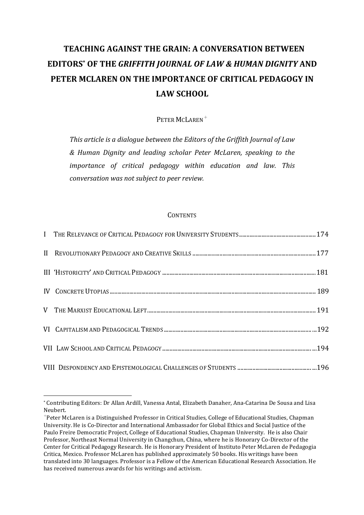# **TEACHING AGAINST THE GRAIN: A CONVERSATION BETWEEN EDITORS\*** OF THE GRIFFITH IOURNAL OF LAW & HUMAN DIGNITY AND **PETER MCLAREN ON THE IMPORTANCE OF CRITICAL PEDAGOGY IN** LAW SCHOOL

PETER MCLAREN<sup>+</sup>

This article is a dialogue between the Editors of the Griffith Journal of Law *& Human Dignity and leading scholar Peter McLaren, speaking to the importance* of critical pedagogy within education and law. This *conversation* was not subject to peer review.

#### **CONTENTS**

<sup>\*</sup> Contributing Editors: Dr Allan Ardill, Vanessa Antal, Elizabeth Danaher, Ana-Catarina De Sousa and Lisa Neubert.

 $^+$ Peter McLaren is a Distinguished Professor in Critical Studies, College of Educational Studies, Chapman University. He is Co-Director and International Ambassador for Global Ethics and Social Justice of the Paulo Freire Democratic Project, College of Educational Studies, Chapman University. He is also Chair Professor, Northeast Normal University in Changchun, China, where he is Honorary Co-Director of the Center for Critical Pedagogy Research. He is Honorary President of Instituto Peter McLaren de Pedagogia Critica, Mexico. Professor McLaren has published approximately 50 books. His writings have been translated into 30 languages. Professor is a Fellow of the American Educational Research Association. He has received numerous awards for his writings and activism.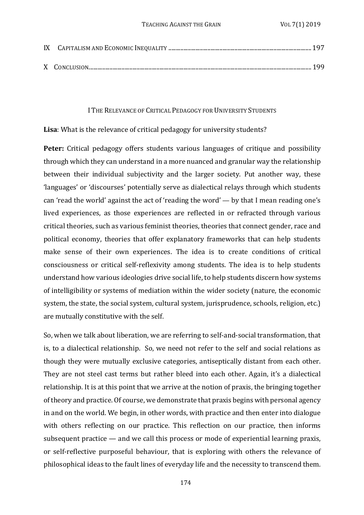#### I THE RELEVANCE OF CRITICAL PEDAGOGY FOR UNIVERSITY STUDENTS

**Lisa**: What is the relevance of critical pedagogy for university students?

**Peter:** Critical pedagogy offers students various languages of critique and possibility through which they can understand in a more nuanced and granular way the relationship between their individual subjectivity and the larger society. Put another way, these 'languages' or 'discourses' potentially serve as dialectical relays through which students can 'read the world' against the act of 'reading the word' — by that I mean reading one's lived experiences, as those experiences are reflected in or refracted through various critical theories, such as various feminist theories, theories that connect gender, race and political economy, theories that offer explanatory frameworks that can help students make sense of their own experiences. The idea is to create conditions of critical consciousness or critical self-reflexivity among students. The idea is to help students understand how various ideologies drive social life, to help students discern how systems of intelligibility or systems of mediation within the wider society (nature, the economic system, the state, the social system, cultural system, jurisprudence, schools, religion, etc.) are mutually constitutive with the self.

So, when we talk about liberation, we are referring to self-and-social transformation, that is, to a dialectical relationship. So, we need not refer to the self and social relations as though they were mutually exclusive categories, antiseptically distant from each other. They are not steel cast terms but rather bleed into each other. Again, it's a dialectical relationship. It is at this point that we arrive at the notion of praxis, the bringing together of theory and practice. Of course, we demonstrate that praxis begins with personal agency in and on the world. We begin, in other words, with practice and then enter into dialogue with others reflecting on our practice. This reflection on our practice, then informs subsequent practice  $-$  and we call this process or mode of experiential learning praxis, or self-reflective purposeful behaviour, that is exploring with others the relevance of philosophical ideas to the fault lines of everyday life and the necessity to transcend them.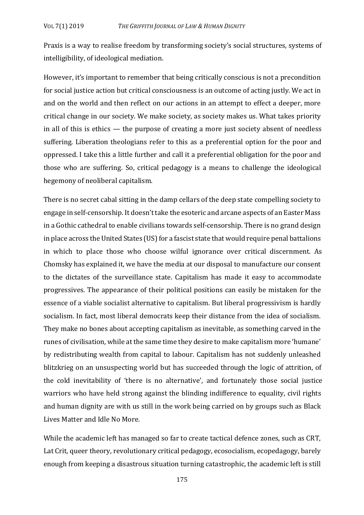Praxis is a way to realise freedom by transforming society's social structures, systems of intelligibility, of ideological mediation.

However, it's important to remember that being critically conscious is not a precondition for social justice action but critical consciousness is an outcome of acting justly. We act in and on the world and then reflect on our actions in an attempt to effect a deeper, more critical change in our society. We make society, as society makes us. What takes priority in all of this is ethics  $-$  the purpose of creating a more just society absent of needless suffering. Liberation theologians refer to this as a preferential option for the poor and oppressed. I take this a little further and call it a preferential obligation for the poor and those who are suffering. So, critical pedagogy is a means to challenge the ideological hegemony of neoliberal capitalism.

There is no secret cabal sitting in the damp cellars of the deep state compelling society to engage in self-censorship. It doesn't take the esoteric and arcane aspects of an Easter Mass in a Gothic cathedral to enable civilians towards self-censorship. There is no grand design in place across the United States (US) for a fascist state that would require penal battalions in which to place those who choose wilful ignorance over critical discernment. As Chomsky has explained it, we have the media at our disposal to manufacture our consent to the dictates of the surveillance state. Capitalism has made it easy to accommodate progressives. The appearance of their political positions can easily be mistaken for the essence of a viable socialist alternative to capitalism. But liberal progressivism is hardly socialism. In fact, most liberal democrats keep their distance from the idea of socialism. They make no bones about accepting capitalism as inevitable, as something carved in the runes of civilisation, while at the same time they desire to make capitalism more 'humane' by redistributing wealth from capital to labour. Capitalism has not suddenly unleashed blitzkrieg on an unsuspecting world but has succeeded through the logic of attrition, of the cold inevitability of 'there is no alternative', and fortunately those social justice warriors who have held strong against the blinding indifference to equality, civil rights and human dignity are with us still in the work being carried on by groups such as Black Lives Matter and Idle No More.

While the academic left has managed so far to create tactical defence zones, such as CRT, Lat Crit, queer theory, revolutionary critical pedagogy, ecosocialism, ecopedagogy, barely enough from keeping a disastrous situation turning catastrophic, the academic left is still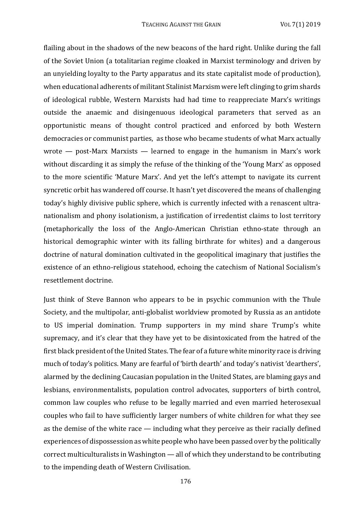flailing about in the shadows of the new beacons of the hard right. Unlike during the fall of the Soviet Union (a totalitarian regime cloaked in Marxist terminology and driven by an unyielding loyalty to the Party apparatus and its state capitalist mode of production), when educational adherents of militant Stalinist Marxism were left clinging to grim shards of ideological rubble, Western Marxists had had time to reappreciate Marx's writings outside the anaemic and disingenuous ideological parameters that served as an opportunistic means of thought control practiced and enforced by both Western democracies or communist parties, as those who became students of what Marx actually wrote  $-$  post-Marx Marxists  $-$  learned to engage in the humanism in Marx's work without discarding it as simply the refuse of the thinking of the 'Young Marx' as opposed to the more scientific 'Mature Marx'. And yet the left's attempt to navigate its current syncretic orbit has wandered off course. It hasn't yet discovered the means of challenging today's highly divisive public sphere, which is currently infected with a renascent ultranationalism and phony isolationism, a justification of irredentist claims to lost territory (metaphorically the loss of the Anglo-American Christian ethno-state through an historical demographic winter with its falling birthrate for whites) and a dangerous doctrine of natural domination cultivated in the geopolitical imaginary that justifies the existence of an ethno-religious statehood, echoing the catechism of National Socialism's resettlement doctrine.

Just think of Steve Bannon who appears to be in psychic communion with the Thule Society, and the multipolar, anti-globalist worldview promoted by Russia as an antidote to US imperial domination. Trump supporters in my mind share Trump's white supremacy, and it's clear that they have vet to be disintoxicated from the hatred of the first black president of the United States. The fear of a future white minority race is driving much of today's politics. Many are fearful of 'birth dearth' and today's nativist 'dearthers', alarmed by the declining Caucasian population in the United States, are blaming gays and lesbians, environmentalists, population control advocates, supporters of birth control, common law couples who refuse to be legally married and even married heterosexual couples who fail to have sufficiently larger numbers of white children for what they see as the demise of the white race  $-$  including what they perceive as their racially defined experiences of dispossession as white people who have been passed over by the politically correct multiculturalists in Washington  $\rightharpoonup$  all of which they understand to be contributing to the impending death of Western Civilisation.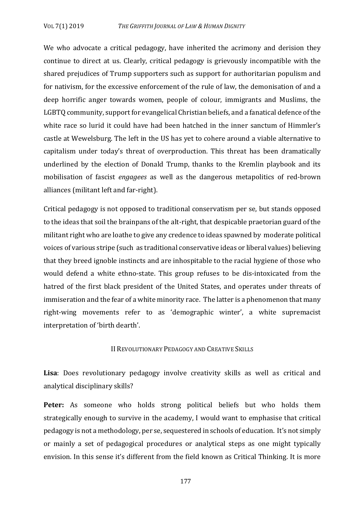We who advocate a critical pedagogy, have inherited the acrimony and derision they continue to direct at us. Clearly, critical pedagogy is grievously incompatible with the shared prejudices of Trump supporters such as support for authoritarian populism and for nativism, for the excessive enforcement of the rule of law, the demonisation of and a deep horrific anger towards women, people of colour, immigrants and Muslims, the LGBTQ community, support for evangelical Christian beliefs, and a fanatical defence of the white race so lurid it could have had been hatched in the inner sanctum of Himmler's castle at Wewelsburg. The left in the US has yet to cohere around a viable alternative to capitalism under today's threat of overproduction. This threat has been dramatically underlined by the election of Donald Trump, thanks to the Kremlin playbook and its mobilisation of fascist *engagees* as well as the dangerous metapolitics of red-brown alliances (militant left and far-right).

Critical pedagogy is not opposed to traditional conservatism per se, but stands opposed to the ideas that soil the brainpans of the alt-right, that despicable praetorian guard of the militant right who are loathe to give any credence to ideas spawned by moderate political voices of various stripe (such as traditional conservative ideas or liberal values) believing that they breed ignoble instincts and are inhospitable to the racial hygiene of those who would defend a white ethno-state. This group refuses to be dis-intoxicated from the hatred of the first black president of the United States, and operates under threats of immiseration and the fear of a white minority race. The latter is a phenomenon that many right-wing movements refer to as 'demographic winter', a white supremacist interpretation of 'birth dearth'.

### II REVOLUTIONARY PEDAGOGY AND CREATIVE SKILLS

Lisa: Does revolutionary pedagogy involve creativity skills as well as critical and analytical disciplinary skills?

**Peter:** As someone who holds strong political beliefs but who holds them strategically enough to survive in the academy, I would want to emphasise that critical pedagogy is not a methodology, per se, sequestered in schools of education. It's not simply or mainly a set of pedagogical procedures or analytical steps as one might typically envision. In this sense it's different from the field known as Critical Thinking. It is more

177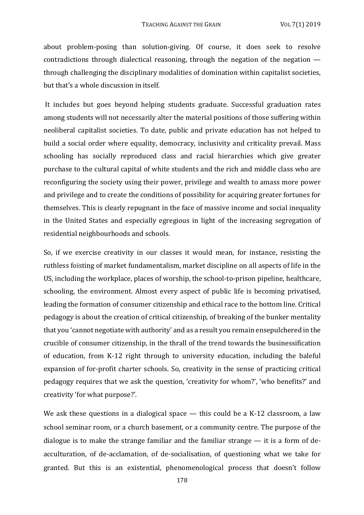about problem-posing than solution-giving. Of course, it does seek to resolve contradictions through dialectical reasoning, through the negation of the negation  $$ through challenging the disciplinary modalities of domination within capitalist societies. but that's a whole discussion in itself.

 It includes but goes beyond helping students graduate. Successful graduation rates among students will not necessarily alter the material positions of those suffering within neoliberal capitalist societies. To date, public and private education has not helped to build a social order where equality, democracy, inclusivity and criticality prevail. Mass schooling has socially reproduced class and racial hierarchies which give greater purchase to the cultural capital of white students and the rich and middle class who are reconfiguring the society using their power, privilege and wealth to amass more power and privilege and to create the conditions of possibility for acquiring greater fortunes for themselves. This is clearly repugnant in the face of massive income and social inequality in the United States and especially egregious in light of the increasing segregation of residential neighbourhoods and schools.

So, if we exercise creativity in our classes it would mean, for instance, resisting the ruthless foisting of market fundamentalism, market discipline on all aspects of life in the US, including the workplace, places of worship, the school-to-prison pipeline, healthcare, schooling, the environment. Almost every aspect of public life is becoming privatised, leading the formation of consumer citizenship and ethical race to the bottom line. Critical pedagogy is about the creation of critical citizenship, of breaking of the bunker mentality that you 'cannot negotiate with authority' and as a result you remain ensepulchered in the crucible of consumer citizenship, in the thrall of the trend towards the businessification of education, from K-12 right through to university education, including the baleful expansion of for-profit charter schools. So, creativity in the sense of practicing critical pedagogy requires that we ask the question, 'creativity for whom?', 'who benefits?' and creativity 'for what purpose?'.

We ask these questions in a dialogical space — this could be a K-12 classroom, a law school seminar room, or a church basement, or a community centre. The purpose of the dialogue is to make the strange familiar and the familiar strange  $-$  it is a form of deacculturation, of de-acclamation, of de-socialisation, of questioning what we take for granted. But this is an existential, phenomenological process that doesn't follow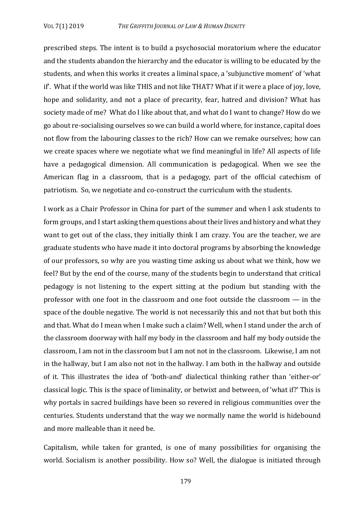prescribed steps. The intent is to build a psychosocial moratorium where the educator and the students abandon the hierarchy and the educator is willing to be educated by the students, and when this works it creates a liminal space, a 'subjunctive moment' of 'what if. What if the world was like THIS and not like THAT? What if it were a place of joy, love, hope and solidarity, and not a place of precarity, fear, hatred and division? What has society made of me? What do I like about that, and what do I want to change? How do we go about re-socialising ourselves so we can build a world where, for instance, capital does not flow from the labouring classes to the rich? How can we remake ourselves; how can we create spaces where we negotiate what we find meaningful in life? All aspects of life have a pedagogical dimension. All communication is pedagogical. When we see the American flag in a classroom, that is a pedagogy, part of the official catechism of patriotism. So, we negotiate and co-construct the curriculum with the students.

I work as a Chair Professor in China for part of the summer and when I ask students to form groups, and I start asking them questions about their lives and history and what they want to get out of the class, they initially think I am crazy. You are the teacher, we are graduate students who have made it into doctoral programs by absorbing the knowledge of our professors, so why are you wasting time asking us about what we think, how we feel? But by the end of the course, many of the students begin to understand that critical pedagogy is not listening to the expert sitting at the podium but standing with the professor with one foot in the classroom and one foot outside the classroom  $-$  in the space of the double negative. The world is not necessarily this and not that but both this and that. What do I mean when I make such a claim? Well, when I stand under the arch of the classroom doorway with half my body in the classroom and half my body outside the classroom, I am not in the classroom but I am not not in the classroom. Likewise, I am not in the hallway, but I am also not not in the hallway. I am both in the hallway and outside of it. This illustrates the idea of 'both-and' dialectical thinking rather than 'either-or' classical logic. This is the space of liminality, or betwixt and between, of 'what if?' This is why portals in sacred buildings have been so revered in religious communities over the centuries. Students understand that the way we normally name the world is hidebound and more malleable than it need be.

Capitalism, while taken for granted, is one of many possibilities for organising the world. Socialism is another possibility. How so? Well, the dialogue is initiated through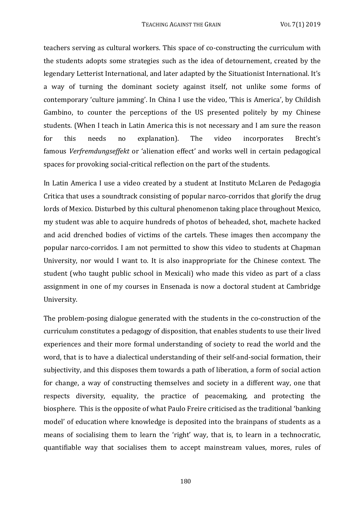teachers serving as cultural workers. This space of co-constructing the curriculum with the students adopts some strategies such as the idea of detournement, created by the legendary Letterist International, and later adapted by the Situationist International. It's a way of turning the dominant society against itself, not unlike some forms of contemporary 'culture jamming'. In China I use the video, 'This is America', by Childish Gambino, to counter the perceptions of the US presented politely by my Chinese students. (When I teach in Latin America this is not necessary and I am sure the reason for this needs no explanation). The video incorporates Brecht's famous Verfremdungseffekt or 'alienation effect' and works well in certain pedagogical spaces for provoking social-critical reflection on the part of the students.

In Latin America I use a video created by a student at Instituto McLaren de Pedagogia Critica that uses a soundtrack consisting of popular narco-corridos that glorify the drug lords of Mexico. Disturbed by this cultural phenomenon taking place throughout Mexico, my student was able to acquire hundreds of photos of beheaded, shot, machete hacked and acid drenched bodies of victims of the cartels. These images then accompany the popular narco-corridos. I am not permitted to show this video to students at Chapman University, nor would I want to. It is also inappropriate for the Chinese context. The student (who taught public school in Mexicali) who made this video as part of a class assignment in one of my courses in Ensenada is now a doctoral student at Cambridge University. 

The problem-posing dialogue generated with the students in the co-construction of the curriculum constitutes a pedagogy of disposition, that enables students to use their lived experiences and their more formal understanding of society to read the world and the word, that is to have a dialectical understanding of their self-and-social formation, their subjectivity, and this disposes them towards a path of liberation, a form of social action for change, a way of constructing themselves and society in a different way, one that respects diversity, equality, the practice of peacemaking, and protecting the biosphere. This is the opposite of what Paulo Freire criticised as the traditional 'banking model' of education where knowledge is deposited into the brainpans of students as a means of socialising them to learn the 'right' way, that is, to learn in a technocratic, quantifiable way that socialises them to accept mainstream values, mores, rules of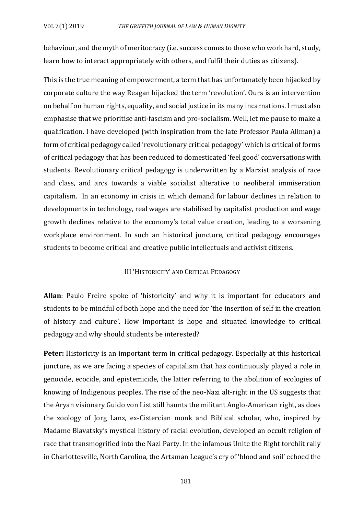behaviour, and the myth of meritocracy (i.e. success comes to those who work hard, study, learn how to interact appropriately with others, and fulfil their duties as citizens).

This is the true meaning of empowerment, a term that has unfortunately been hijacked by corporate culture the way Reagan hijacked the term 'revolution'. Ours is an intervention on behalf on human rights, equality, and social justice in its many incarnations. I must also emphasise that we prioritise anti-fascism and pro-socialism. Well, let me pause to make a qualification. I have developed (with inspiration from the late Professor Paula Allman) a form of critical pedagogy called 'revolutionary critical pedagogy' which is critical of forms of critical pedagogy that has been reduced to domesticated 'feel good' conversations with students. Revolutionary critical pedagogy is underwritten by a Marxist analysis of race and class, and arcs towards a viable socialist alterative to neoliberal immiseration capitalism. In an economy in crisis in which demand for labour declines in relation to developments in technology, real wages are stabilised by capitalist production and wage growth declines relative to the economy's total value creation, leading to a worsening workplace environment. In such an historical juncture, critical pedagogy encourages students to become critical and creative public intellectuals and activist citizens.

### III 'HISTORICITY' AND CRITICAL PEDAGOGY

**Allan**: Paulo Freire spoke of 'historicity' and why it is important for educators and students to be mindful of both hope and the need for 'the insertion of self in the creation of history and culture'. How important is hope and situated knowledge to critical pedagogy and why should students be interested?

**Peter:** Historicity is an important term in critical pedagogy. Especially at this historical juncture, as we are facing a species of capitalism that has continuously played a role in genocide, ecocide, and epistemicide, the latter referring to the abolition of ecologies of knowing of Indigenous peoples. The rise of the neo-Nazi alt-right in the US suggests that the Aryan visionary Guido von List still haunts the militant Anglo-American right, as does the zoology of Jorg Lanz, ex-Cistercian monk and Biblical scholar, who, inspired by Madame Blavatsky's mystical history of racial evolution, developed an occult religion of race that transmogrified into the Nazi Party. In the infamous Unite the Right torchlit rally in Charlottesville, North Carolina, the Artaman League's cry of 'blood and soil' echoed the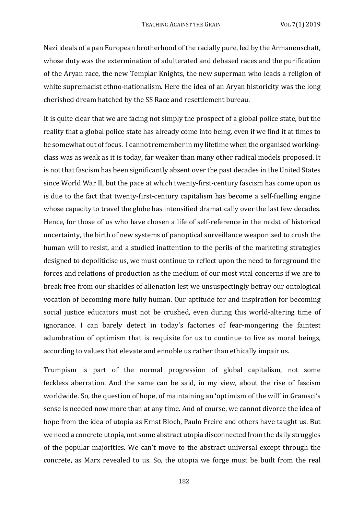Nazi ideals of a pan European brotherhood of the racially pure, led by the Armanenschaft, whose duty was the extermination of adulterated and debased races and the purification of the Aryan race, the new Templar Knights, the new superman who leads a religion of white supremacist ethno-nationalism. Here the idea of an Aryan historicity was the long cherished dream hatched by the SS Race and resettlement bureau.

It is quite clear that we are facing not simply the prospect of a global police state, but the reality that a global police state has already come into being, even if we find it at times to be somewhat out of focus. I cannot remember in my lifetime when the organised workingclass was as weak as it is today, far weaker than many other radical models proposed. It is not that fascism has been significantly absent over the past decades in the United States since World War II, but the pace at which twenty-first-century fascism has come upon us is due to the fact that twenty-first-century capitalism has become a self-fuelling engine whose capacity to travel the globe has intensified dramatically over the last few decades. Hence, for those of us who have chosen a life of self-reference in the midst of historical uncertainty, the birth of new systems of panoptical surveillance weaponised to crush the human will to resist, and a studied inattention to the perils of the marketing strategies designed to depoliticise us, we must continue to reflect upon the need to foreground the forces and relations of production as the medium of our most vital concerns if we are to break free from our shackles of alienation lest we unsuspectingly betray our ontological vocation of becoming more fully human. Our aptitude for and inspiration for becoming social justice educators must not be crushed, even during this world-altering time of ignorance. I can barely detect in today's factories of fear-mongering the faintest adumbration of optimism that is requisite for us to continue to live as moral beings, according to values that elevate and ennoble us rather than ethically impair us.

Trumpism is part of the normal progression of global capitalism, not some feckless aberration. And the same can be said, in my view, about the rise of fascism worldwide. So, the question of hope, of maintaining an 'optimism of the will' in Gramsci's sense is needed now more than at any time. And of course, we cannot divorce the idea of hope from the idea of utopia as Ernst Bloch, Paulo Freire and others have taught us. But we need a concrete utopia, not some abstract utopia disconnected from the daily struggles of the popular majorities. We can't move to the abstract universal except through the concrete, as Marx revealed to us. So, the utopia we forge must be built from the real

182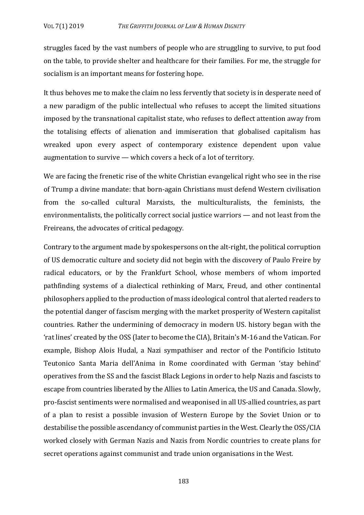struggles faced by the vast numbers of people who are struggling to survive, to put food on the table, to provide shelter and healthcare for their families. For me, the struggle for socialism is an important means for fostering hope.

It thus behoves me to make the claim no less fervently that society is in desperate need of a new paradigm of the public intellectual who refuses to accept the limited situations imposed by the transnational capitalist state, who refuses to deflect attention away from the totalising effects of alienation and immiseration that globalised capitalism has wreaked upon every aspect of contemporary existence dependent upon value augmentation to survive  $-$  which covers a heck of a lot of territory.

We are facing the frenetic rise of the white Christian evangelical right who see in the rise of Trump a divine mandate: that born-again Christians must defend Western civilisation from the so-called cultural Marxists, the multiculturalists, the feminists, the environmentalists, the politically correct social justice warriors  $-$  and not least from the Freireans, the advocates of critical pedagogy.

Contrary to the argument made by spokespersons on the alt-right, the political corruption of US democratic culture and society did not begin with the discovery of Paulo Freire by radical educators, or by the Frankfurt School, whose members of whom imported pathfinding systems of a dialectical rethinking of Marx, Freud, and other continental philosophers applied to the production of mass ideological control that alerted readers to the potential danger of fascism merging with the market prosperity of Western capitalist countries. Rather the undermining of democracy in modern US, history began with the 'rat lines' created by the OSS (later to become the CIA), Britain's M-16 and the Vatican. For example, Bishop Alois Hudal, a Nazi sympathiser and rector of the Pontificio Istituto Teutonico Santa Maria dell'Anima in Rome coordinated with German 'stay behind' operatives from the SS and the fascist Black Legions in order to help Nazis and fascists to escape from countries liberated by the Allies to Latin America, the US and Canada. Slowly, pro-fascist sentiments were normalised and weaponised in all US-allied countries, as part of a plan to resist a possible invasion of Western Europe by the Soviet Union or to destabilise the possible ascendancy of communist parties in the West. Clearly the OSS/CIA worked closely with German Nazis and Nazis from Nordic countries to create plans for secret operations against communist and trade union organisations in the West.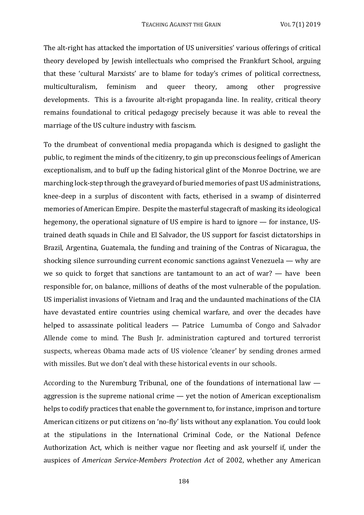The alt-right has attacked the importation of US universities' various offerings of critical theory developed by Jewish intellectuals who comprised the Frankfurt School, arguing that these 'cultural Marxists' are to blame for today's crimes of political correctness, multiculturalism, feminism and queer theory, among other progressive developments. This is a favourite alt-right propaganda line. In reality, critical theory remains foundational to critical pedagogy precisely because it was able to reveal the marriage of the US culture industry with fascism.

To the drumbeat of conventional media propaganda which is designed to gaslight the public, to regiment the minds of the citizenry, to gin up preconscious feelings of American exceptionalism, and to buff up the fading historical glint of the Monroe Doctrine, we are marching lock-step through the graveyard of buried memories of past US administrations, knee-deep in a surplus of discontent with facts, etherised in a swamp of disinterred memories of American Empire. Despite the masterful stagecraft of masking its ideological hegemony, the operational signature of US empire is hard to ignore  $-$  for instance, UStrained death squads in Chile and El Salvador, the US support for fascist dictatorships in Brazil, Argentina, Guatemala, the funding and training of the Contras of Nicaragua, the shocking silence surrounding current economic sanctions against Venezuela  $-$  why are we so quick to forget that sanctions are tantamount to an act of war?  $-$  have been responsible for, on balance, millions of deaths of the most vulnerable of the population. US imperialist invasions of Vietnam and Iraq and the undaunted machinations of the CIA have devastated entire countries using chemical warfare, and over the decades have helped to assassinate political leaders  $-$  Patrice Lumumba of Congo and Salvador Allende come to mind. The Bush Ir. administration captured and tortured terrorist suspects, whereas Obama made acts of US violence 'cleaner' by sending drones armed with missiles. But we don't deal with these historical events in our schools.

According to the Nuremburg Tribunal, one of the foundations of international law  $$ aggression is the supreme national crime  $-$  yet the notion of American exceptionalism helps to codify practices that enable the government to, for instance, imprison and torture American citizens or put citizens on 'no-fly' lists without any explanation. You could look at the stipulations in the International Criminal Code, or the National Defence Authorization Act, which is neither vague nor fleeting and ask yourself if, under the auspices of *American Service-Members Protection Act* of 2002, whether any American

184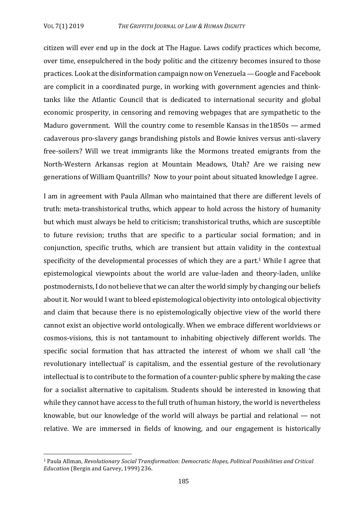citizen will ever end up in the dock at The Hague. Laws codify practices which become, over time, ensepulchered in the body politic and the citizenry becomes insured to those practices. Look at the disinformation campaign now on Venezuela — Google and Facebook are complicit in a coordinated purge, in working with government agencies and thinktanks like the Atlantic Council that is dedicated to international security and global economic prosperity, in censoring and removing webpages that are sympathetic to the Maduro government. Will the country come to resemble Kansas in the1850s  $-$  armed cadaverous pro-slavery gangs brandishing pistols and Bowie knives versus anti-slavery free-soilers? Will we treat immigrants like the Mormons treated emigrants from the North-Western Arkansas region at Mountain Meadows, Utah? Are we raising new generations of William Quantrills? Now to your point about situated knowledge I agree.

I am in agreement with Paula Allman who maintained that there are different levels of truth: meta-transhistorical truths, which appear to hold across the history of humanity but which must always be held to criticism; transhistorical truths, which are susceptible to future revision; truths that are specific to a particular social formation; and in conjunction, specific truths, which are transient but attain validity in the contextual specificity of the developmental processes of which they are a part.<sup>1</sup> While I agree that epistemological viewpoints about the world are value-laden and theory-laden, unlike postmodernists, I do not believe that we can alter the world simply by changing our beliefs about it. Nor would I want to bleed epistemological objectivity into ontological objectivity and claim that because there is no epistemologically objective view of the world there cannot exist an objective world ontologically. When we embrace different worldviews or cosmos-visions, this is not tantamount to inhabiting objectively different worlds. The specific social formation that has attracted the interest of whom we shall call 'the revolutionary intellectual' is capitalism, and the essential gesture of the revolutionary intellectual is to contribute to the formation of a counter-public sphere by making the case for a socialist alternative to capitalism. Students should be interested in knowing that while they cannot have access to the full truth of human history, the world is nevertheless knowable, but our knowledge of the world will always be partial and relational  $-$  not relative. We are immersed in fields of knowing, and our engagement is historically

<sup>&</sup>lt;sup>1</sup> Paula Allman, *Revolutionary Social Transformation: Democratic Hopes, Political Possibilities and Critical Education* (Bergin and Garvey, 1999) 236.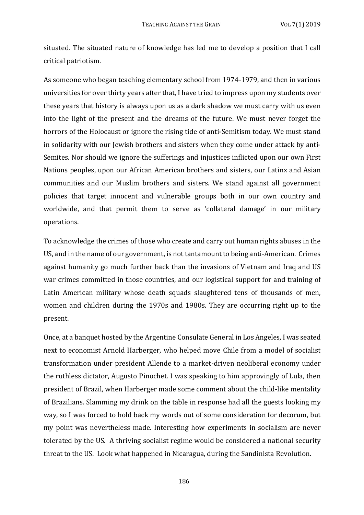situated. The situated nature of knowledge has led me to develop a position that I call critical patriotism. 

As someone who began teaching elementary school from 1974-1979, and then in various universities for over thirty years after that, I have tried to impress upon my students over these years that history is always upon us as a dark shadow we must carry with us even into the light of the present and the dreams of the future. We must never forget the horrors of the Holocaust or ignore the rising tide of anti-Semitism today. We must stand in solidarity with our lewish brothers and sisters when they come under attack by anti-Semites. Nor should we ignore the sufferings and injustices inflicted upon our own First Nations peoples, upon our African American brothers and sisters, our Latinx and Asian communities and our Muslim brothers and sisters. We stand against all government policies that target innocent and vulnerable groups both in our own country and worldwide, and that permit them to serve as 'collateral damage' in our military operations. 

To acknowledge the crimes of those who create and carry out human rights abuses in the US, and in the name of our government, is not tantamount to being anti-American. Crimes against humanity go much further back than the invasions of Vietnam and Iraq and US war crimes committed in those countries, and our logistical support for and training of Latin American military whose death squads slaughtered tens of thousands of men, women and children during the 1970s and 1980s. They are occurring right up to the present. 

Once, at a banquet hosted by the Argentine Consulate General in Los Angeles, I was seated next to economist Arnold Harberger, who helped move Chile from a model of socialist transformation under president Allende to a market-driven neoliberal economy under the ruthless dictator, Augusto Pinochet. I was speaking to him approvingly of Lula, then president of Brazil, when Harberger made some comment about the child-like mentality of Brazilians. Slamming my drink on the table in response had all the guests looking my way, so I was forced to hold back my words out of some consideration for decorum, but my point was nevertheless made. Interesting how experiments in socialism are never tolerated by the US. A thriving socialist regime would be considered a national security threat to the US. Look what happened in Nicaragua, during the Sandinista Revolution.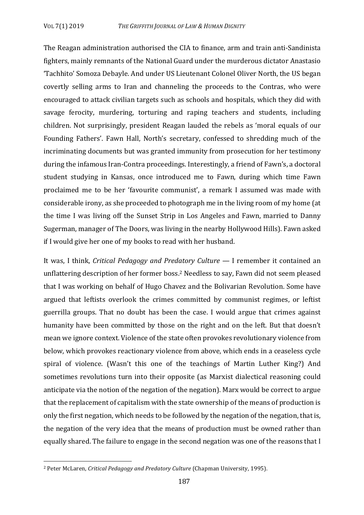The Reagan administration authorised the CIA to finance, arm and train anti-Sandinista fighters, mainly remnants of the National Guard under the murderous dictator Anastasio 'Tachhito' Somoza Debayle. And under US Lieutenant Colonel Oliver North, the US began covertly selling arms to Iran and channeling the proceeds to the Contras, who were encouraged to attack civilian targets such as schools and hospitals, which they did with savage ferocity, murdering, torturing and raping teachers and students, including children. Not surprisingly, president Reagan lauded the rebels as 'moral equals of our Founding Fathers'. Fawn Hall, North's secretary, confessed to shredding much of the incriminating documents but was granted immunity from prosecution for her testimony during the infamous Iran-Contra proceedings. Interestingly, a friend of Fawn's, a doctoral student studying in Kansas, once introduced me to Fawn, during which time Fawn proclaimed me to be her 'favourite communist', a remark I assumed was made with considerable irony, as she proceeded to photograph me in the living room of my home (at the time I was living off the Sunset Strip in Los Angeles and Fawn, married to Danny Sugerman, manager of The Doors, was living in the nearby Hollywood Hills). Fawn asked if I would give her one of my books to read with her husband.

It was, I think, *Critical Pedagogy and Predatory Culture* - I remember it contained an unflattering description of her former boss.<sup>2</sup> Needless to say, Fawn did not seem pleased that I was working on behalf of Hugo Chavez and the Bolivarian Revolution. Some have argued that leftists overlook the crimes committed by communist regimes, or leftist guerrilla groups. That no doubt has been the case. I would argue that crimes against humanity have been committed by those on the right and on the left. But that doesn't mean we ignore context. Violence of the state often provokes revolutionary violence from below, which provokes reactionary violence from above, which ends in a ceaseless cycle spiral of violence. (Wasn't this one of the teachings of Martin Luther King?) And sometimes revolutions turn into their opposite (as Marxist dialectical reasoning could anticipate via the notion of the negation of the negation). Marx would be correct to argue that the replacement of capitalism with the state ownership of the means of production is only the first negation, which needs to be followed by the negation of the negation, that is, the negation of the very idea that the means of production must be owned rather than equally shared. The failure to engage in the second negation was one of the reasons that I

<sup>&</sup>lt;sup>2</sup> Peter McLaren, *Critical Pedagogy and Predatory Culture* (Chapman University, 1995).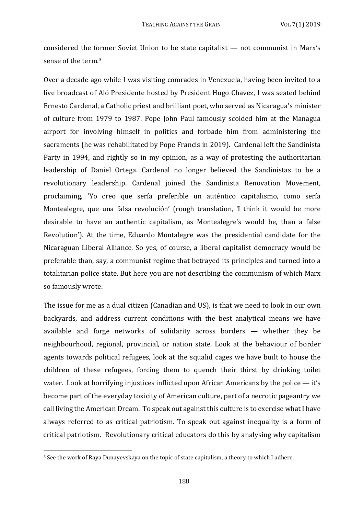considered the former Soviet Union to be state capitalist  $-$  not communist in Marx's sense of the term.<sup>3</sup>

Over a decade ago while I was visiting comrades in Venezuela, having been invited to a live broadcast of Aló Presidente hosted by President Hugo Chavez, I was seated behind Ernesto Cardenal, a Catholic priest and brilliant poet, who served as Nicaragua's minister of culture from 1979 to 1987. Pope John Paul famously scolded him at the Managua airport for involving himself in politics and forbade him from administering the sacraments (he was rehabilitated by Pope Francis in 2019). Cardenal left the Sandinista Party in 1994, and rightly so in my opinion, as a way of protesting the authoritarian leadership of Daniel Ortega. Cardenal no longer believed the Sandinistas to be a revolutionary leadership. Cardenal joined the Sandinista Renovation Movement, proclaiming, 'Yo creo que sería preferible un auténtico capitalismo, como sería Montealegre, que una falsa revolución' (rough translation, 'I think it would be more desirable to have an authentic capitalism, as Montealegre's would be, than a false Revolution'). At the time, Eduardo Montalegre was the presidential candidate for the Nicaraguan Liberal Alliance. So yes, of course, a liberal capitalist democracy would be preferable than, say, a communist regime that betrayed its principles and turned into a totalitarian police state. But here you are not describing the communism of which Marx so famously wrote.

The issue for me as a dual citizen (Canadian and US), is that we need to look in our own backyards, and address current conditions with the best analytical means we have available and forge networks of solidarity across borders  $-$  whether they be neighbourhood, regional, provincial, or nation state. Look at the behaviour of border agents towards political refugees, look at the squalid cages we have built to house the children of these refugees, forcing them to quench their thirst by drinking toilet water. Look at horrifying injustices inflicted upon African Americans by the police  $-$  it's become part of the everyday toxicity of American culture, part of a necrotic pageantry we call living the American Dream. To speak out against this culture is to exercise what I have always referred to as critical patriotism. To speak out against inequality is a form of critical patriotism. Revolutionary critical educators do this by analysing why capitalism

<sup>&</sup>lt;sup>3</sup> See the work of Raya Dunayevskaya on the topic of state capitalism, a theory to which I adhere.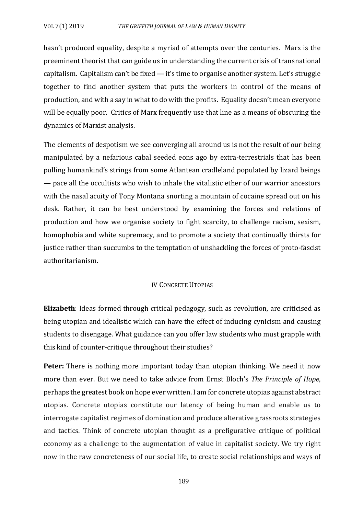hasn't produced equality, despite a myriad of attempts over the centuries. Marx is the preeminent theorist that can guide us in understanding the current crisis of transnational capitalism. Capitalism can't be fixed — it's time to organise another system. Let's struggle together to find another system that puts the workers in control of the means of production, and with a say in what to do with the profits. Equality doesn't mean everyone will be equally poor. Critics of Marx frequently use that line as a means of obscuring the dynamics of Marxist analysis.

The elements of despotism we see converging all around us is not the result of our being manipulated by a nefarious cabal seeded eons ago by extra-terrestrials that has been pulling humankind's strings from some Atlantean cradleland populated by lizard beings — pace all the occultists who wish to inhale the vitalistic ether of our warrior ancestors with the nasal acuity of Tony Montana snorting a mountain of cocaine spread out on his desk. Rather, it can be best understood by examining the forces and relations of production and how we organise society to fight scarcity, to challenge racism, sexism, homophobia and white supremacy, and to promote a society that continually thirsts for justice rather than succumbs to the temptation of unshackling the forces of proto-fascist authoritarianism. 

### IV CONCRETE UTOPIAS

**Elizabeth**: Ideas formed through critical pedagogy, such as revolution, are criticised as being utopian and idealistic which can have the effect of inducing cynicism and causing students to disengage. What guidance can you offer law students who must grapple with this kind of counter-critique throughout their studies?

**Peter:** There is nothing more important today than utopian thinking. We need it now more than ever. But we need to take advice from Ernst Bloch's *The Principle of Hope*, perhaps the greatest book on hope ever written. I am for concrete utopias against abstract utopias. Concrete utopias constitute our latency of being human and enable us to interrogate capitalist regimes of domination and produce alterative grassroots strategies and tactics. Think of concrete utopian thought as a prefigurative critique of political economy as a challenge to the augmentation of value in capitalist society. We try right now in the raw concreteness of our social life, to create social relationships and ways of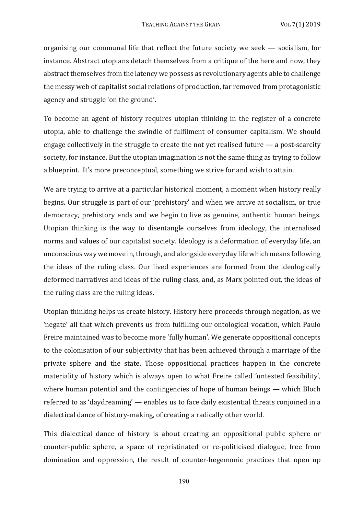organising our communal life that reflect the future society we seek  $-$  socialism, for instance. Abstract utopians detach themselves from a critique of the here and now, they abstract themselves from the latency we possess as revolutionary agents able to challenge the messy web of capitalist social relations of production, far removed from protagonistic agency and struggle 'on the ground'.

To become an agent of history requires utopian thinking in the register of a concrete utopia, able to challenge the swindle of fulfilment of consumer capitalism. We should engage collectively in the struggle to create the not vet realised future  $\rightharpoonup$  a post-scarcity society, for instance. But the utopian imagination is not the same thing as trying to follow a blueprint. It's more preconceptual, something we strive for and wish to attain.

We are trying to arrive at a particular historical moment, a moment when history really begins. Our struggle is part of our 'prehistory' and when we arrive at socialism, or true democracy, prehistory ends and we begin to live as genuine, authentic human beings. Utopian thinking is the way to disentangle ourselves from ideology, the internalised norms and values of our capitalist society. Ideology is a deformation of everyday life, an unconscious way we move in, through, and alongside everyday life which means following the ideas of the ruling class. Our lived experiences are formed from the ideologically deformed narratives and ideas of the ruling class, and, as Marx pointed out, the ideas of the ruling class are the ruling ideas.

Utopian thinking helps us create history. History here proceeds through negation, as we 'negate' all that which prevents us from fulfilling our ontological vocation, which Paulo Freire maintained was to become more 'fully human'. We generate oppositional concepts to the colonisation of our subjectivity that has been achieved through a marriage of the private sphere and the state. Those oppositional practices happen in the concrete materiality of history which is always open to what Freire called 'untested feasibility', where human potential and the contingencies of hope of human beings — which Bloch referred to as 'daydreaming'  $-$  enables us to face daily existential threats conjoined in a dialectical dance of history-making, of creating a radically other world.

This dialectical dance of history is about creating an oppositional public sphere or counter-public sphere, a space of repristinated or re-politicised dialogue, free from domination and oppression, the result of counter-hegemonic practices that open up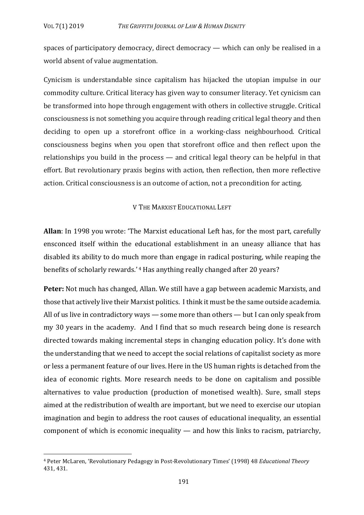spaces of participatory democracy, direct democracy — which can only be realised in a world absent of value augmentation.

Cynicism is understandable since capitalism has hijacked the utopian impulse in our commodity culture. Critical literacy has given way to consumer literacy. Yet cynicism can be transformed into hope through engagement with others in collective struggle. Critical consciousness is not something you acquire through reading critical legal theory and then deciding to open up a storefront office in a working-class neighbourhood. Critical consciousness begins when you open that storefront office and then reflect upon the relationships you build in the process  $-$  and critical legal theory can be helpful in that effort. But revolutionary praxis begins with action, then reflection, then more reflective action. Critical consciousness is an outcome of action, not a precondition for acting.

### V THE MARXIST EDUCATIONAL LEFT

**Allan**: In 1998 you wrote: 'The Marxist educational Left has, for the most part, carefully ensconced itself within the educational establishment in an uneasy alliance that has disabled its ability to do much more than engage in radical posturing, while reaping the benefits of scholarly rewards.'<sup>4</sup> Has anything really changed after 20 years?

**Peter:** Not much has changed, Allan. We still have a gap between academic Marxists, and those that actively live their Marxist politics. I think it must be the same outside academia. All of us live in contradictory ways  $-$  some more than others  $-$  but I can only speak from my 30 years in the academy. And I find that so much research being done is research directed towards making incremental steps in changing education policy. It's done with the understanding that we need to accept the social relations of capitalist society as more or less a permanent feature of our lives. Here in the US human rights is detached from the idea of economic rights. More research needs to be done on capitalism and possible alternatives to value production (production of monetised wealth). Sure, small steps aimed at the redistribution of wealth are important, but we need to exercise our utopian imagination and begin to address the root causes of educational inequality, an essential component of which is economic inequality  $-$  and how this links to racism, patriarchy,

<sup>&</sup>lt;sup>4</sup> Peter McLaren, 'Revolutionary Pedagogy in Post-Revolutionary Times' (1998) 48 *Educational Theory* 431, 431.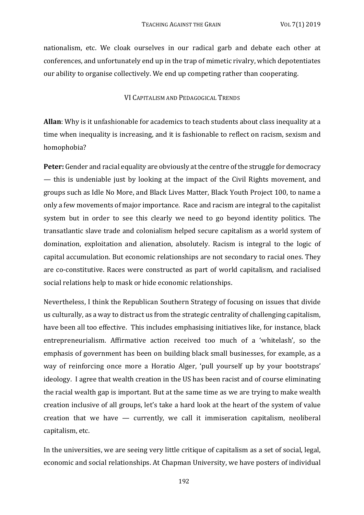nationalism, etc. We cloak ourselves in our radical garb and debate each other at conferences, and unfortunately end up in the trap of mimetic rivalry, which depotentiates our ability to organise collectively. We end up competing rather than cooperating.

### VI CAPITALISM AND PEDAGOGICAL TRENDS

**Allan**: Why is it unfashionable for academics to teach students about class inequality at a time when inequality is increasing, and it is fashionable to reflect on racism, sexism and homophobia? 

**Peter:** Gender and racial equality are obviously at the centre of the struggle for democracy — this is undeniable just by looking at the impact of the Civil Rights movement, and groups such as Idle No More, and Black Lives Matter, Black Youth Project 100, to name a only a few movements of major importance. Race and racism are integral to the capitalist system but in order to see this clearly we need to go beyond identity politics. The transatlantic slave trade and colonialism helped secure capitalism as a world system of domination, exploitation and alienation, absolutely. Racism is integral to the logic of capital accumulation. But economic relationships are not secondary to racial ones. They are co-constitutive. Races were constructed as part of world capitalism, and racialised social relations help to mask or hide economic relationships.

Nevertheless, I think the Republican Southern Strategy of focusing on issues that divide us culturally, as a way to distract us from the strategic centrality of challenging capitalism, have been all too effective. This includes emphasising initiatives like, for instance, black entrepreneurialism. Affirmative action received too much of a 'whitelash', so the emphasis of government has been on building black small businesses, for example, as a way of reinforcing once more a Horatio Alger, 'pull yourself up by your bootstraps' ideology. I agree that wealth creation in the US has been racist and of course eliminating the racial wealth gap is important. But at the same time as we are trying to make wealth creation inclusive of all groups, let's take a hard look at the heart of the system of value creation that we have  $-$  currently, we call it immiseration capitalism, neoliberal capitalism, etc.

In the universities, we are seeing very little critique of capitalism as a set of social, legal, economic and social relationships. At Chapman University, we have posters of individual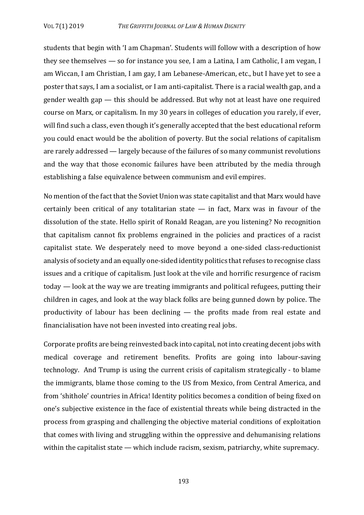students that begin with 'I am Chapman'. Students will follow with a description of how they see themselves  $-$  so for instance you see, I am a Latina, I am Catholic, I am vegan, I am Wiccan, I am Christian, I am gay, I am Lebanese-American, etc., but I have yet to see a poster that says, I am a socialist, or I am anti-capitalist. There is a racial wealth gap, and a gender wealth  $gap$  — this should be addressed. But why not at least have one required course on Marx, or capitalism. In my 30 years in colleges of education you rarely, if ever, will find such a class, even though it's generally accepted that the best educational reform you could enact would be the abolition of poverty. But the social relations of capitalism are rarely addressed  $-$  largely because of the failures of so many communist revolutions and the way that those economic failures have been attributed by the media through establishing a false equivalence between communism and evil empires.

No mention of the fact that the Soviet Union was state capitalist and that Marx would have certainly been critical of any totalitarian state  $-$  in fact, Marx was in favour of the dissolution of the state. Hello spirit of Ronald Reagan, are you listening? No recognition that capitalism cannot fix problems engrained in the policies and practices of a racist capitalist state. We desperately need to move beyond a one-sided class-reductionist analysis of society and an equally one-sided identity politics that refuses to recognise class issues and a critique of capitalism. Just look at the vile and horrific resurgence of racism today — look at the way we are treating immigrants and political refugees, putting their children in cages, and look at the way black folks are being gunned down by police. The productivity of labour has been declining  $-$  the profits made from real estate and financialisation have not been invested into creating real jobs.

Corporate profits are being reinvested back into capital, not into creating decent jobs with medical coverage and retirement benefits. Profits are going into labour-saving technology. And Trump is using the current crisis of capitalism strategically - to blame the immigrants, blame those coming to the US from Mexico, from Central America, and from 'shithole' countries in Africa! Identity politics becomes a condition of being fixed on one's subjective existence in the face of existential threats while being distracted in the process from grasping and challenging the objective material conditions of exploitation that comes with living and struggling within the oppressive and dehumanising relations within the capitalist state  $-$  which include racism, sexism, patriarchy, white supremacy.

193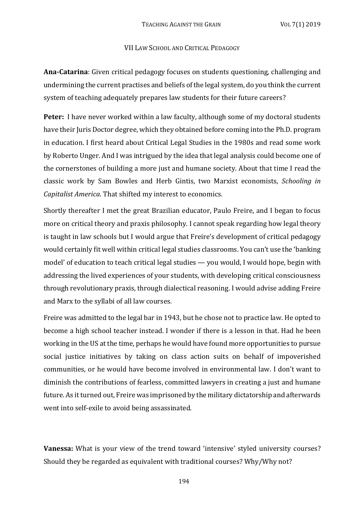#### VII LAW SCHOOL AND CRITICAL PEDAGOGY

**Ana-Catarina**: Given critical pedagogy focuses on students questioning, challenging and undermining the current practises and beliefs of the legal system, do you think the current system of teaching adequately prepares law students for their future careers?

Peter: I have never worked within a law faculty, although some of my doctoral students have their Juris Doctor degree, which they obtained before coming into the Ph.D. program in education. I first heard about Critical Legal Studies in the 1980s and read some work by Roberto Unger. And I was intrigued by the idea that legal analysis could become one of the cornerstones of building a more just and humane society. About that time I read the classic work by Sam Bowles and Herb Gintis, two Marxist economists, *Schooling in Capitalist America*. That shifted my interest to economics.

Shortly thereafter I met the great Brazilian educator, Paulo Freire, and I began to focus more on critical theory and praxis philosophy. I cannot speak regarding how legal theory is taught in law schools but I would argue that Freire's development of critical pedagogy would certainly fit well within critical legal studies classrooms. You can't use the 'banking model' of education to teach critical legal studies — you would, I would hope, begin with addressing the lived experiences of your students, with developing critical consciousness through revolutionary praxis, through dialectical reasoning. I would advise adding Freire and Marx to the syllabi of all law courses.

Freire was admitted to the legal bar in 1943, but he chose not to practice law. He opted to become a high school teacher instead. I wonder if there is a lesson in that. Had he been working in the US at the time, perhaps he would have found more opportunities to pursue social justice initiatives by taking on class action suits on behalf of impoverished communities, or he would have become involved in environmental law. I don't want to diminish the contributions of fearless, committed lawyers in creating a just and humane future. As it turned out, Freire was imprisoned by the military dictatorship and afterwards went into self-exile to avoid being assassinated.

**Vanessa:** What is your view of the trend toward 'intensive' styled university courses? Should they be regarded as equivalent with traditional courses? Why/Why not?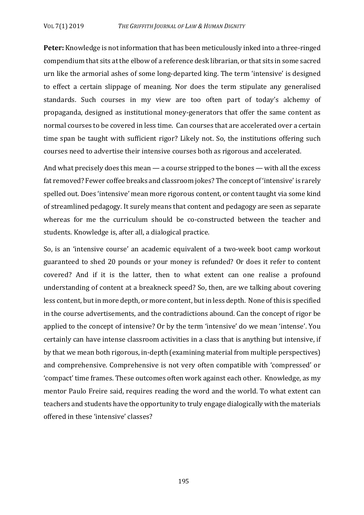**Peter:** Knowledge is not information that has been meticulously inked into a three-ringed compendium that sits at the elbow of a reference desk librarian, or that sits in some sacred urn like the armorial ashes of some long-departed king. The term 'intensive' is designed to effect a certain slippage of meaning. Nor does the term stipulate any generalised standards. Such courses in my view are too often part of today's alchemy of propaganda, designed as institutional money-generators that offer the same content as normal courses to be covered in less time. Can courses that are accelerated over a certain time span be taught with sufficient rigor? Likely not. So, the institutions offering such courses need to advertise their intensive courses both as rigorous and accelerated.

And what precisely does this mean  $\frac{1}{2}$  a course stripped to the bones  $\frac{1}{2}$  with all the excess fat removed? Fewer coffee breaks and classroom jokes? The concept of 'intensive' is rarely spelled out. Does 'intensive' mean more rigorous content, or content taught via some kind of streamlined pedagogy. It surely means that content and pedagogy are seen as separate whereas for me the curriculum should be co-constructed between the teacher and students. Knowledge is, after all, a dialogical practice.

So, is an 'intensive course' an academic equivalent of a two-week boot camp workout guaranteed to shed 20 pounds or your money is refunded? Or does it refer to content covered? And if it is the latter, then to what extent can one realise a profound understanding of content at a breakneck speed? So, then, are we talking about covering less content, but in more depth, or more content, but in less depth. None of this is specified in the course advertisements, and the contradictions abound. Can the concept of rigor be applied to the concept of intensive? Or by the term 'intensive' do we mean 'intense'. You certainly can have intense classroom activities in a class that is anything but intensive, if by that we mean both rigorous, in-depth (examining material from multiple perspectives) and comprehensive. Comprehensive is not very often compatible with 'compressed' or 'compact' time frames. These outcomes often work against each other. Knowledge, as my mentor Paulo Freire said, requires reading the word and the world. To what extent can teachers and students have the opportunity to truly engage dialogically with the materials offered in these 'intensive' classes?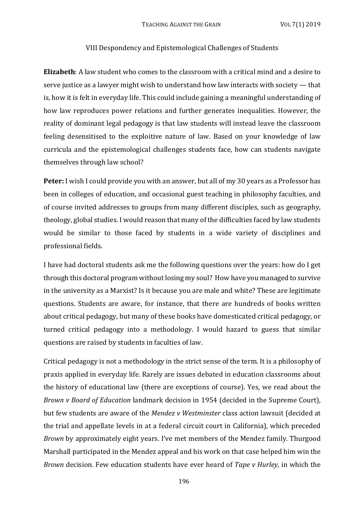#### VIII Despondency and Epistemological Challenges of Students

**Elizabeth**: A law student who comes to the classroom with a critical mind and a desire to serve justice as a lawyer might wish to understand how law interacts with society  $-$  that is, how it is felt in everyday life. This could include gaining a meaningful understanding of how law reproduces power relations and further generates inequalities. However, the reality of dominant legal pedagogy is that law students will instead leave the classroom feeling desensitised to the exploitive nature of law. Based on your knowledge of law curricula and the epistemological challenges students face, how can students navigate themselves through law school?

**Peter:** I wish I could provide you with an answer, but all of my 30 years as a Professor has been in colleges of education, and occasional guest teaching in philosophy faculties, and of course invited addresses to groups from many different disciples, such as geography, theology, global studies. I would reason that many of the difficulties faced by law students would be similar to those faced by students in a wide variety of disciplines and professional fields.

I have had doctoral students ask me the following questions over the years: how do I get through this doctoral program without losing my soul? How have you managed to survive in the university as a Marxist? Is it because you are male and white? These are legitimate questions. Students are aware, for instance, that there are hundreds of books written about critical pedagogy, but many of these books have domesticated critical pedagogy, or turned critical pedagogy into a methodology. I would hazard to guess that similar questions are raised by students in faculties of law.

Critical pedagogy is not a methodology in the strict sense of the term. It is a philosophy of praxis applied in everyday life. Rarely are issues debated in education classrooms about the history of educational law (there are exceptions of course). Yes, we read about the *Brown v Board of Education* landmark decision in 1954 (decided in the Supreme Court), but few students are aware of the *Mendez v Westminster* class action lawsuit (decided at the trial and appellate levels in at a federal circuit court in California), which preceded *Brown* by approximately eight years. I've met members of the Mendez family. Thurgood Marshall participated in the Mendez appeal and his work on that case helped him win the *Brown* decision. Few education students have ever heard of *Tape* v *Hurley*, in which the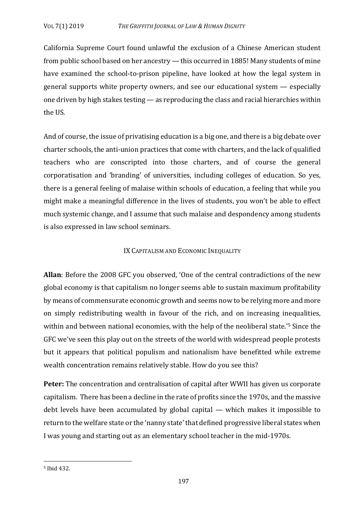California Supreme Court found unlawful the exclusion of a Chinese American student from public school based on her ancestry  $-$  this occurred in 1885! Many students of mine have examined the school-to-prison pipeline, have looked at how the legal system in general supports white property owners, and see our educational system  $-$  especially one driven by high stakes testing  $-$  as reproducing the class and racial hierarchies within the US.

And of course, the issue of privatising education is a big one, and there is a big debate over charter schools, the anti-union practices that come with charters, and the lack of qualified teachers who are conscripted into those charters, and of course the general corporatisation and 'branding' of universities, including colleges of education. So yes, there is a general feeling of malaise within schools of education, a feeling that while you might make a meaningful difference in the lives of students, you won't be able to effect much systemic change, and I assume that such malaise and despondency among students is also expressed in law school seminars.

## IX CAPITALISM AND ECONOMIC INEQUALITY

**Allan**: Before the 2008 GFC you observed, 'One of the central contradictions of the new global economy is that capitalism no longer seems able to sustain maximum profitability by means of commensurate economic growth and seems now to be relying more and more on simply redistributing wealth in favour of the rich, and on increasing inequalities, within and between national economies, with the help of the neoliberal state.'<sup>5</sup> Since the GFC we've seen this play out on the streets of the world with widespread people protests but it appears that political populism and nationalism have benefitted while extreme wealth concentration remains relatively stable. How do you see this?

**Peter:** The concentration and centralisation of capital after WWII has given us corporate capitalism. There has been a decline in the rate of profits since the 1970s, and the massive debt levels have been accumulated by global capital  $-$  which makes it impossible to return to the welfare state or the 'nanny state' that defined progressive liberal states when I was young and starting out as an elementary school teacher in the mid-1970s.

<sup>5</sup> Ibid 432.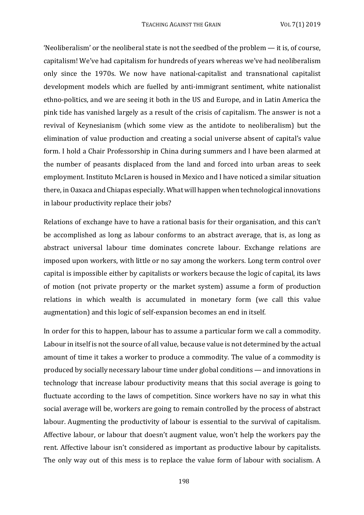'Neoliberalism' or the neoliberal state is not the seedbed of the problem  $-$  it is, of course, capitalism! We've had capitalism for hundreds of years whereas we've had neoliberalism only since the 1970s. We now have national-capitalist and transnational capitalist development models which are fuelled by anti-immigrant sentiment, white nationalist ethno-politics, and we are seeing it both in the US and Europe, and in Latin America the pink tide has vanished largely as a result of the crisis of capitalism. The answer is not a revival of Keynesianism (which some view as the antidote to neoliberalism) but the elimination of value production and creating a social universe absent of capital's value form. I hold a Chair Professorship in China during summers and I have been alarmed at the number of peasants displaced from the land and forced into urban areas to seek employment. Instituto McLaren is housed in Mexico and I have noticed a similar situation there, in Oaxaca and Chiapas especially. What will happen when technological innovations in labour productivity replace their jobs?

Relations of exchange have to have a rational basis for their organisation, and this can't be accomplished as long as labour conforms to an abstract average, that is, as long as abstract universal labour time dominates concrete labour. Exchange relations are imposed upon workers, with little or no say among the workers. Long term control over capital is impossible either by capitalists or workers because the logic of capital, its laws of motion (not private property or the market system) assume a form of production relations in which wealth is accumulated in monetary form (we call this value augmentation) and this logic of self-expansion becomes an end in itself.

In order for this to happen, labour has to assume a particular form we call a commodity. Labour in itself is not the source of all value, because value is not determined by the actual amount of time it takes a worker to produce a commodity. The value of a commodity is produced by socially necessary labour time under global conditions — and innovations in technology that increase labour productivity means that this social average is going to fluctuate according to the laws of competition. Since workers have no say in what this social average will be, workers are going to remain controlled by the process of abstract labour. Augmenting the productivity of labour is essential to the survival of capitalism. Affective labour, or labour that doesn't augment value, won't help the workers pay the rent. Affective labour isn't considered as important as productive labour by capitalists. The only way out of this mess is to replace the value form of labour with socialism. A

198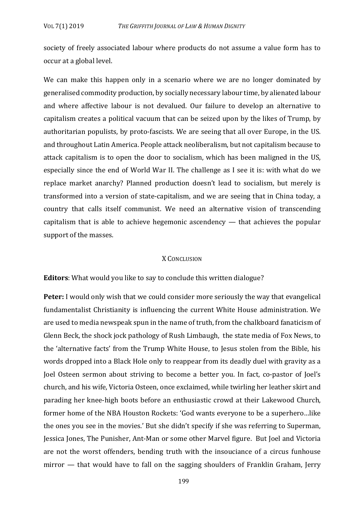society of freely associated labour where products do not assume a value form has to occur at a global level.

We can make this happen only in a scenario where we are no longer dominated by generalised commodity production, by socially necessary labour time, by alienated labour and where affective labour is not devalued. Our failure to develop an alternative to capitalism creates a political vacuum that can be seized upon by the likes of Trump, by authoritarian populists, by proto-fascists. We are seeing that all over Europe, in the US. and throughout Latin America. People attack neoliberalism, but not capitalism because to attack capitalism is to open the door to socialism, which has been maligned in the US. especially since the end of World War II. The challenge as I see it is: with what do we replace market anarchy? Planned production doesn't lead to socialism, but merely is transformed into a version of state-capitalism, and we are seeing that in China today, a country that calls itself communist. We need an alternative vision of transcending capitalism that is able to achieve hegemonic ascendency  $-$  that achieves the popular support of the masses.

#### X CONCLUSION

**Editors**: What would you like to say to conclude this written dialogue?

**Peter:** I would only wish that we could consider more seriously the way that evangelical fundamentalist Christianity is influencing the current White House administration. We are used to media newspeak spun in the name of truth, from the chalkboard fanaticism of Glenn Beck, the shock jock pathology of Rush Limbaugh, the state media of Fox News, to the 'alternative facts' from the Trump White House, to Jesus stolen from the Bible, his words dropped into a Black Hole only to reappear from its deadly duel with gravity as a Joel Osteen sermon about striving to become a better you. In fact, co-pastor of Joel's church, and his wife, Victoria Osteen, once exclaimed, while twirling her leather skirt and parading her knee-high boots before an enthusiastic crowd at their Lakewood Church, former home of the NBA Houston Rockets: 'God wants everyone to be a superhero...like the ones you see in the movies.' But she didn't specify if she was referring to Superman, Jessica Jones, The Punisher, Ant-Man or some other Marvel figure. But Joel and Victoria are not the worst offenders, bending truth with the insouciance of a circus funhouse  $mirror$  — that would have to fall on the sagging shoulders of Franklin Graham, Jerry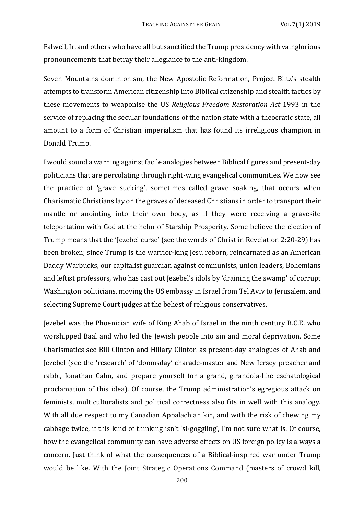Falwell, Jr. and others who have all but sanctified the Trump presidency with vainglorious pronouncements that betray their allegiance to the anti-kingdom.

Seven Mountains dominionism, the New Apostolic Reformation, Project Blitz's stealth attempts to transform American citizenship into Biblical citizenship and stealth tactics by these movements to weaponise the US *Religious Freedom Restoration Act* 1993 in the service of replacing the secular foundations of the nation state with a theocratic state, all amount to a form of Christian imperialism that has found its irreligious champion in Donald Trump.

I would sound a warning against facile analogies between Biblical figures and present-day politicians that are percolating through right-wing evangelical communities. We now see the practice of 'grave sucking', sometimes called grave soaking, that occurs when Charismatic Christians lay on the graves of deceased Christians in order to transport their mantle or anointing into their own body, as if they were receiving a gravesite teleportation with God at the helm of Starship Prosperity. Some believe the election of Trump means that the 'Jezebel curse' (see the words of Christ in Revelation 2:20-29) has been broken; since Trump is the warrior-king Jesu reborn, reincarnated as an American Daddy Warbucks, our capitalist guardian against communists, union leaders, Bohemians and leftist professors, who has cast out Iezebel's idols by 'draining the swamp' of corrupt Washington politicians, moving the US embassy in Israel from Tel Aviv to Jerusalem, and selecting Supreme Court judges at the behest of religious conservatives.

Jezebel was the Phoenician wife of King Ahab of Israel in the ninth century B.C.E. who worshipped Baal and who led the Jewish people into sin and moral deprivation. Some Charismatics see Bill Clinton and Hillary Clinton as present-day analogues of Ahab and Jezebel (see the 'research' of 'doomsday' charade-master and New Jersey preacher and rabbi, Jonathan Cahn, and prepare yourself for a grand, girandola-like eschatological proclamation of this idea). Of course, the Trump administration's egregious attack on feminists, multiculturalists and political correctness also fits in well with this analogy. With all due respect to my Canadian Appalachian kin, and with the risk of chewing my cabbage twice, if this kind of thinking isn't 'si-goggling', I'm not sure what is. Of course, how the evangelical community can have adverse effects on US foreign policy is always a concern. Just think of what the consequences of a Biblical-inspired war under Trump would be like. With the Joint Strategic Operations Command (masters of crowd kill,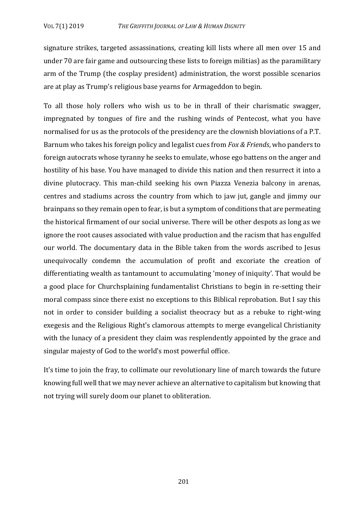signature strikes, targeted assassinations, creating kill lists where all men over 15 and under 70 are fair game and outsourcing these lists to foreign militias) as the paramilitary arm of the Trump (the cosplay president) administration, the worst possible scenarios are at play as Trump's religious base yearns for Armageddon to begin.

To all those holy rollers who wish us to be in thrall of their charismatic swagger, impregnated by tongues of fire and the rushing winds of Pentecost, what you have normalised for us as the protocols of the presidency are the clownish bloviations of a P.T. Barnum who takes his foreign policy and legalist cues from *Fox & Friends*, who panders to foreign autocrats whose tyranny he seeks to emulate, whose ego battens on the anger and hostility of his base. You have managed to divide this nation and then resurrect it into a divine plutocracy. This man-child seeking his own Piazza Venezia balcony in arenas, centres and stadiums across the country from which to jaw jut, gangle and jimmy our brainpans so they remain open to fear, is but a symptom of conditions that are permeating the historical firmament of our social universe. There will be other despots as long as we ignore the root causes associated with value production and the racism that has engulfed our world. The documentary data in the Bible taken from the words ascribed to Jesus unequivocally condemn the accumulation of profit and excoriate the creation of differentiating wealth as tantamount to accumulating 'money of iniquity'. That would be a good place for Churchsplaining fundamentalist Christians to begin in re-setting their moral compass since there exist no exceptions to this Biblical reprobation. But I say this not in order to consider building a socialist theocracy but as a rebuke to right-wing exegesis and the Religious Right's clamorous attempts to merge evangelical Christianity with the lunacy of a president they claim was resplendently appointed by the grace and singular majesty of God to the world's most powerful office.

It's time to join the fray, to collimate our revolutionary line of march towards the future knowing full well that we may never achieve an alternative to capitalism but knowing that not trying will surely doom our planet to obliteration.